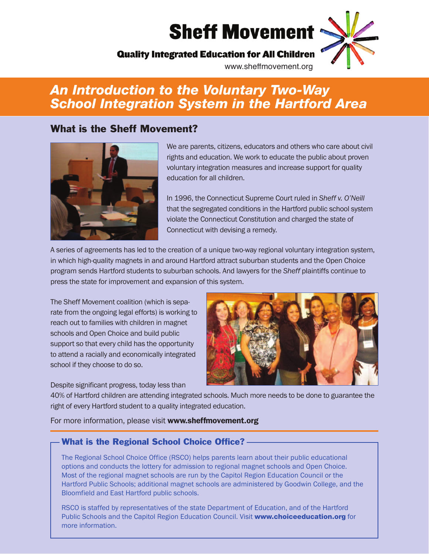## **Sheff Movement**

## **Quality Integrated Education for All Children**

www.sheffmovement.org

## *An Introduction to the Voluntary Two-Way School Integration System in the Hartford Area*

#### **What is the Sheff Movement?**



We are parents, citizens, educators and others who care about civil rights and education. We work to educate the public about proven voluntary integration measures and increase support for quality education for all children.

In 1996, the Connecticut Supreme Court ruled in *Sheff v. O'Neill* that the segregated conditions in the Hartford public school system violate the Connecticut Constitution and charged the state of Connecticut with devising a remedy.

A series of agreements has led to the creation of a unique two-way regional voluntary integration system, in which high-quality magnets in and around Hartford attract suburban students and the Open Choice program sends Hartford students to suburban schools. And lawyers for the *Sheff* plaintiffs continue to press the state for improvement and expansion of this system.

The Sheff Movement coalition (which is separate from the ongoing legal efforts) is working to reach out to families with children in magnet schools and Open Choice and build public support so that every child has the opportunity to attend a racially and economically integrated school if they choose to do so.

Despite significant progress, today less than



40% of Hartford children are attending integrated schools. Much more needs to be done to guarantee the right of every Hartford student to a quality integrated education.

For more information, please visit **www.sheffmovement.org**

#### **What is the Regional School Choice Office?**

The Regional School Choice Office (RSCO) helps parents learn about their public educational options and conducts the lottery for admission to regional magnet schools and Open Choice. Most of the regional magnet schools are run by the Capitol Region Education Council or the Hartford Public Schools; additional magnet schools are administered by Goodwin College, and the Bloomfield and East Hartford public schools.

RSCO is staffed by representatives of the state Department of Education, and of the Hartford Public Schools and the Capitol Region Education Council. Visit **www.choiceeducation.org** for more information.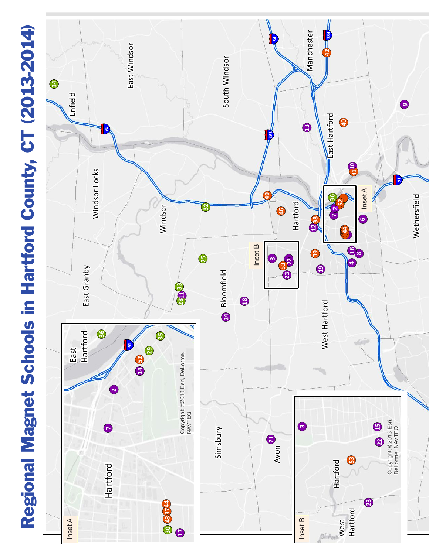## **R e g i o n a l M a g n e t S c h o o l s i n H a r t f o r d C o u n ty, C T ( 2 0 13 - 2 0 14)**

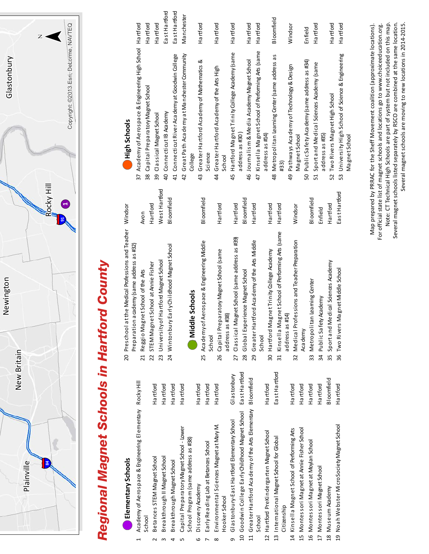

# *Regional Magnet Schools in Hartford County*Regional Magnet Schools in Hartford County **List of Magnet Schools in Hartford**

# **Elementary Schools (a) Elementary Schools**

Aca demy of Ae rospace & Engineering Elementary Rocky Hill 1 Academy of Aerospace & Engineering Elementary Rocky Hill School  $\overline{1}$ 

2 Betances STEM Magnet School Hartford

Betances STEM Magnet School

 Hartford Breakthrough II Magnet School Breakthrough II Magnet School ო

่

4 Breakthrough Magnet School Hartford Hartford Capital PreparatoryMagnet School - Lower Capital Preparatory Magnet School - Lower School Program (same address as #38) School Program (same address as #38) Breakthrough Magnet School  $\overline{5}$ 4

Hartford

Hartford Hartford

- Hartford Dis coveryAcademy Discovery Academy 6
- 7 EarlyReading Lab at Betances School Hartford Hartford Environmental Sciences Magnet at MaryM. Environmental Sciences Magnet at Mary M. Early Reading Lab at Betances School Hooker School Hooker School  $\infty$  $\bar{}$

Hartford

- Glastonbury Glastonbury Glastonbury-East Hartford Elementary School Glastonbury-East Hartford Elementary School  $\sigma$
- East Hartford 10 Goodwin College Early Childhood Magnet School Fast Hartford 11 Greater Hartford Academy of the Arts Elementary Bloomfield 11 Greater Hartford Academy of the Arts Elementary Bloomfield 10 Good win College Early Childhood Magnet School
- 13 International Magnet School for Global Fast Hartford 12 Hartford Hartford PreKindergarten Magnet School 12 Hartford PreKindergarten Magnet School 13 International Magnet School for Global School

East Hartford

Hartford

- 14 Kinsella Magnet School of Performing Arts<br>14 15 Hartford Montessori Magnet at Annie Fisher School 15 Montessori Magnet at Annie Fisher School 14 Kinsella MagnetSchool of Performing Arts Citizenship Citizenship
- 16 Montessori Magnet at Moylan School Hartford 16 Montessori Magnet at Moylan School
- 17 Montessori Magnet School and Hartford 17 Montessori Magnet School
	-
	-
- 18 Bloomfield Museum Academy 18 Museum Academy

**Bloomfield** 

Hartford Hartford

Hartford

Hartford

Hartford

- $19<sub>1</sub>$
- 
- 19 Hartford Noah Webster MicroSocietyMagnet School Noah Webster MicroSociety Magnet School

36 Two Rivers Magnet Middle School Fast Hartford

36 Two Rivers Magnet Middle School

EastHartford

- West Hartford Hartford 20 Preschool at the Medical Professions and Teacher Windsor 20 Pres chool at the Medical Professions and Teacher Windsor 22 STEM Magnet School at Annie Fisher Hartford Avon 21 Reggio Magnet School of the Arts Preparation academy (same address as #32) Preparation academy (same address as #32) 22 STEM Magnet School at Annie Fisher 21 Reggio Magnet School of the Arts
	- 23 University of Hartford Magnet School West Hartford 24 Wintonbury Early Childhood Magnet School Bloomfield 24 Wintonbury Early Childhood Magnet School 23 University of Hartford Magnet School

Hartford Hartford

Hartford

Bloomfield

# Middle Schools **(b) Middle Schools**

Bloomfield Bloomfield Bloomfield 25 Academy of Aeros pace & Engineering Middle Bloomfield 28 Global Experience Magnet School Bloomfield 33 Metropolitan Learning Center<br> Hartford Hartford Hartford Hartford Hartford Hartford Windsor 26 Capital Preparatory Magnet School (same Hartford 27 Classical Magnet School (same address as #39) Hartford 29 Greater Hartford Academy of the Arts Middle Hartford 30 Hartford Hartford Magnet TrinityCollege Academy 31 Kinsella Magnet School of Performing Arts (same Hartford 32 Medical Professions and Teacher Preparation Windsor Enfield 35 Sport and Medical Sciences Academy 34 Enfield Public SafetyAcademy 31 Kinsella MagnetSchool of Performing Arts (same 27 Classical Magnet School (same address as #39) 32 Medical Professions and Teacher Preparation 25 Academy of Aeros pace & Engineering Middle 29 Greater Hartford Academy of the Arts Middle 26 Capital Preparatory Magnet School (same 30 Hartford Magnet Trinity College Academy 35 Sport and Medical Sciences Academy 28 Global Experience Magnet School 33 Metropolitan Leaming Center 34 Public Safety Academy address as #38) address as #14) address as #38) address as #14) Academy School School

# High Schools **(c) High Schools**

| 37              | Academy of Aerospace & Engineering High School                     | Hartford          |
|-----------------|--------------------------------------------------------------------|-------------------|
| 38              | Capital Preparatory Magnet School                                  | Ha rtford         |
| 39              | Classical Magnet School                                            | Hartford          |
| 9               | Connecticut IB Academy                                             | East Hartford     |
| $\overline{41}$ | Connecticut River Academy at Goodwin College                       | East Hartford     |
| 42              | Great Path Academyat Man chester Community                         | Manchester        |
|                 | College                                                            |                   |
| 43              | Greater Hartford Academy of Mathematics &                          | Hartford          |
|                 | Science                                                            |                   |
| $\overline{4}$  | Greater Hartford Academy of the Arts High                          | Ha rtford         |
|                 | School                                                             |                   |
| 45              | Hartford Magnet Trinity College Academy (same                      | Ha rtford         |
|                 | address as #30)                                                    |                   |
| 46              | Journalism & Media Academy Magnet School                           | Hartford          |
| 47              | Kinsella Magnet School of Performing Arts (same<br>address as #14) | Hartford          |
|                 |                                                                    |                   |
| 48              | Metropolitan Leaming Genter (same address as<br>#33)               | <b>Bloomfield</b> |
| 49              | Pathways Academy of Technology & Design                            | Windsor           |
|                 | Magnet School                                                      |                   |
| 50              | Public Safety Academy (same address as #34)                        | Enfield           |
| 51              | Sportand Medical Sciences Academy (same                            | Hartford          |
|                 | address as #35)                                                    |                   |
| 52              | Two Rivers Magnet High School                                      | Hartford          |
| 53              | University High School of Science & Engineering                    | Ha rtford         |
|                 | Magnet School                                                      |                   |

Note: CT Technical High Schools are part of system but not included on this map. Several magnet schools listed separately by RSCO are combined at the same location. Several magnet schools are moving to new locations in 2014-2015. Map prepared by PRRAC for the Sheff Movement coalition (approximate locations). For official state list of magnet schools and locations go to www.choiceeducation.org. Note: CT Technical High Schools are part of system but not included on this map. Several magnet schools listed separately by RSCO are combined at the same location. Several magnet schools are moving to new locations in 2014-2015. Map prepared by PRRAC for the Sheff Movement coalition (approximate locations). For official state list of magnet schools and locations go to www.choiceeducation.org.